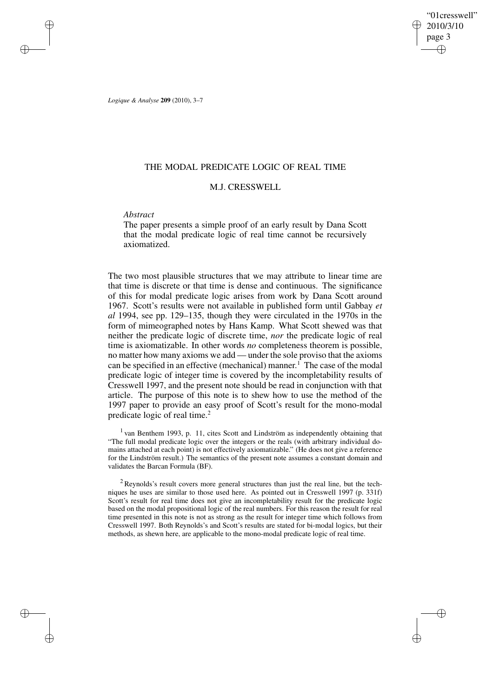"01cresswell" 2010/3/10 page 3 ✐ ✐

✐

✐

*Logique & Analyse* **209** (2010), 3–7

✐

✐

✐

✐

# THE MODAL PREDICATE LOGIC OF REAL TIME

# M.J. CRESSWELL

## *Abstract*

The paper presents a simple proof of an early result by Dana Scott that the modal predicate logic of real time cannot be recursively axiomatized.

The two most plausible structures that we may attribute to linear time are that time is discrete or that time is dense and continuous. The significance of this for modal predicate logic arises from work by Dana Scott around 1967. Scott's results were not available in published form until Gabbay *et al* 1994, see pp. 129–135, though they were circulated in the 1970s in the form of mimeographed notes by Hans Kamp. What Scott shewed was that neither the predicate logic of discrete time, *nor* the predicate logic of real time is axiomatizable. In other words *no* completeness theorem is possible, no matter how many axioms we add — under the sole proviso that the axioms can be specified in an effective (mechanical) manner. <sup>1</sup> The case of the modal predicate logic of integer time is covered by the incompletability results of Cresswell 1997, and the present note should be read in conjunction with that article. The purpose of this note is to shew how to use the method of the 1997 paper to provide an easy proof of Scott's result for the mono-modal predicate logic of real time.<sup>2</sup>

<sup>1</sup> van Benthem 1993, p. 11, cites Scott and Lindström as independently obtaining that "The full modal predicate logic over the integers or the reals (with arbitrary individual domains attached at each point) is not effectively axiomatizable." (He does not give a reference for the Lindström result.) The semantics of the present note assumes a constant domain and validates the Barcan Formula (BF).

 $2$  Reynolds's result covers more general structures than just the real line, but the techniques he uses are similar to those used here. As pointed out in Cresswell 1997 (p. 331f) Scott's result for real time does not give an incompletability result for the predicate logic based on the modal propositional logic of the real numbers. For this reason the result for real time presented in this note is not as strong as the result for integer time which follows from Cresswell 1997. Both Reynolds's and Scott's results are stated for bi-modal logics, but their methods, as shewn here, are applicable to the mono-modal predicate logic of real time.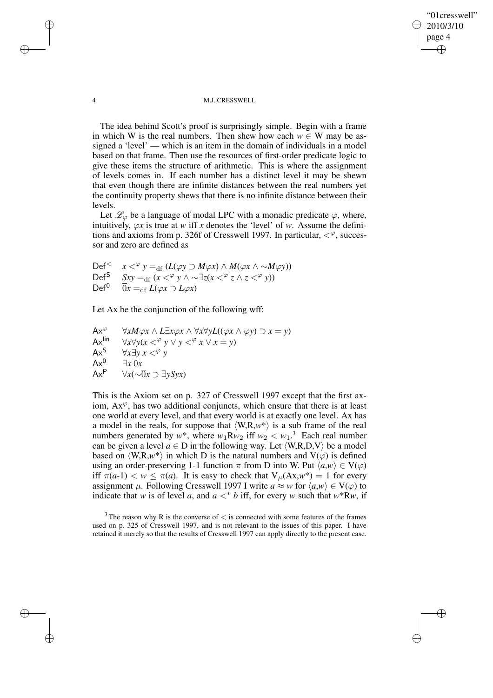"01cresswell" 2010/3/10 page 4 ✐ ✐

✐

✐

#### 4 M.J. CRESSWELL

The idea behind Scott's proof is surprisingly simple. Begin with a frame in which W is the real numbers. Then shew how each  $w \in W$  may be assigned a 'level' — which is an item in the domain of individuals in a model based on that frame. Then use the resources of first-order predicate logic to give these items the structure of arithmetic. This is where the assignment of levels comes in. If each number has a distinct level it may be shewn that even though there are infinite distances between the real numbers yet the continuity property shews that there is no infinite distance between their levels.

Let  $\mathcal{L}_{\varphi}$  be a language of modal LPC with a monadic predicate  $\varphi$ , where, intuitively,  $\varphi x$  is true at *w* iff *x* denotes the 'level' of *w*. Assume the definitions and axioms from p. 326f of Cresswell 1997. In particular,  $\langle \varphi$ , successor and zero are defined as

Def<sup><</sup>  $x <^{\varphi} y =_{df} (L(\varphi y \supset M\varphi x) \wedge M(\varphi x \wedge \sim M\varphi y))$ Def<sup>S</sup>  $Sxy =_{df} (x <^{\varphi} y \land \sim ∃z(x <^{\varphi} z \land z <^{\varphi} y))$ Def<sup>0</sup>  $\overline{0}x =_{df} L(\varphi x) L(\varphi x)$ 

Let Ax be the conjunction of the following wff:

Ax<sup>φ</sup>  $\forall x M \varphi x \land L \exists x \varphi x \land \forall x \forall y L((\varphi x \land \varphi y) \supset x = y)$ <br>Ax<sup>lin</sup>  $\forall x \forall y (x \leq^{\varphi} y \lor y \leq^{\varphi} x \lor x = y)$ Ax<sup>lin</sup>  $\forall x \forall y (x \leq^{\varphi} y \lor y \leq^{\varphi} x \lor x = y)$ <br>Ax<sup>S</sup>  $\forall x \exists y \ x \leq^{\varphi} y$  $Ax^S$   $\forall x \exists y \ x <^{\varphi} y$ <br> $Ax^0$   $\exists x \ \overline{0}x$  $Ax^0$   $\exists x \overline{0}x$ <br> $Ax^P$   $\forall x (\sim \overline{0})$ Ax<sup>P</sup> ∀*x*(∼0*x* ⊃ ∃*ySyx*)

This is the Axiom set on p. 327 of Cresswell 1997 except that the first axiom,  $Ax^{\varphi}$ , has two additional conjuncts, which ensure that there is at least one world at every level, and that every world is at exactly one level. Ax has a model in the reals, for suppose that  $\langle W, R, w^* \rangle$  is a sub frame of the real numbers generated by  $w^*$ , where  $w_1 R w_2$  iff  $w_2 < w_1$ .<sup>3</sup> Each real number can be given a level  $a \in D$  in the following way. Let  $\langle W, R, D, V \rangle$  be a model based on  $\langle W, R, w^* \rangle$  in which D is the natural numbers and  $V(\varphi)$  is defined using an order-preserving 1-1 function  $\pi$  from D into W. Put  $\langle a, w \rangle \in V(\varphi)$ iff  $\pi(a-1) < w \leq \pi(a)$ . It is easy to check that  $V_\mu(Ax,w^*) = 1$  for every assignment  $\mu$ . Following Cresswell 1997 I write  $a \approx w$  for  $\langle a, w \rangle \in V(\varphi)$  to indicate that *w* is of level *a*, and  $a <^* b$  iff, for every *w* such that  $w^*Rw$ , if

✐

✐

✐

 $3$  The reason why R is the converse of  $\lt$  is connected with some features of the frames used on p. 325 of Cresswell 1997, and is not relevant to the issues of this paper. I have retained it merely so that the results of Cresswell 1997 can apply directly to the present case.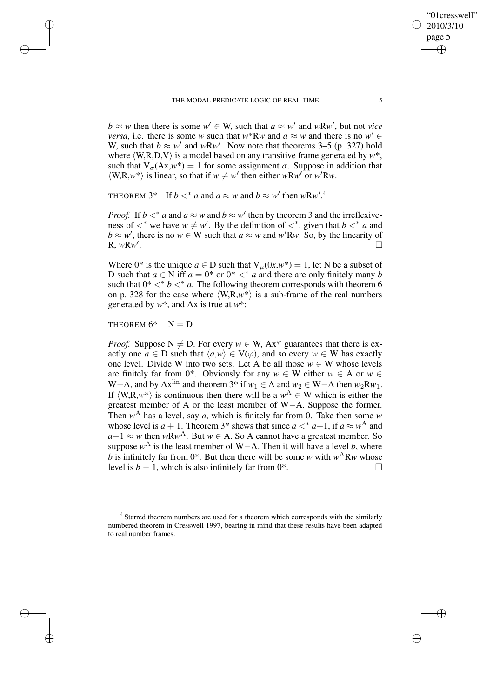#### THE MODAL PREDICATE LOGIC OF REAL TIME 5

 $b \approx w$  then there is some  $w' \in W$ , such that  $a \approx w'$  and  $wRw'$ , but not *vice versa*, i.e. there is some *w* such that  $w^*Rw$  and  $a \approx w$  and there is no  $w' \in$ W, such that  $b \approx w'$  and  $wRw'$ . Now note that theorems 3–5 (p. 327) hold where  $\langle W, R, D, V \rangle$  is a model based on any transitive frame generated by  $w^*$ , such that  $V_{\sigma}(Ax,w^*) = 1$  for some assignment  $\sigma$ . Suppose in addition that  $\langle W, R, w^* \rangle$  is linear, so that if  $w \neq w'$  then either  $wRw'$  or  $w'Rw$ .

THEOREM  $3^*$  If  $b <^* a$  and  $a \approx w$  and  $b \approx w'$  then  $wRw'.^4$ 

*Proof.* If  $b <^* a$  and  $a \approx w$  and  $b \approx w'$  then by theorem 3 and the irreflexiveness of  $\lt^*$  we have  $w \neq w'$ . By the definition of  $\lt^*$ , given that  $b \lt^* a$  and  $b \approx w'$ , there is no  $w \in W$  such that  $a \approx w$  and  $w'Rw$ . So, by the linearity of R, *w*R*w* 0 .

Where 0<sup>\*</sup> is the unique  $a \in D$  such that  $V_{\mu}(\overline{0}x, w^*) = 1$ , let N be a subset of D such that  $a \in N$  iff  $a = 0^*$  or  $0^* <^* a$  and there are only finitely many *b* such that  $0^* <^* b <^* a$ . The following theorem corresponds with theorem 6 on p. 328 for the case where  $\langle W, R, w^* \rangle$  is a sub-frame of the real numbers generated by *w*\*, and Ax is true at *w*\*:

THEOREM  $6^*$  N = D

✐

✐

✐

✐

*Proof.* Suppose  $N \neq D$ . For every  $w \in W$ ,  $Ax^{\varphi}$  guarantees that there is exactly one  $a \in D$  such that  $\langle a, w \rangle \in V(\varphi)$ , and so every  $w \in W$  has exactly one level. Divide W into two sets. Let A be all those  $w \in W$  whose levels are finitely far from 0<sup>\*</sup>. Obviously for any  $w \in W$  either  $w \in A$  or  $w \in A$ W−A, and by Ax<sup>lin</sup> and theorem 3<sup>\*</sup> if  $w_1 \in A$  and  $w_2 \in W-A$  then  $w_2Rw_1$ . If  $\langle W, R, w^* \rangle$  is continuous then there will be a  $w^A \in W$  which is either the greatest member of A or the least member of W−A. Suppose the former. Then  $w^A$  has a level, say *a*, which is finitely far from 0. Take then some *w* whose level is  $a + 1$ . Theorem 3<sup>\*</sup> shews that since  $a <^* a+1$ , if  $a \approx w^A$  and  $a+1 \approx w$  then  $wRw^A$ . But  $w \in A$ . So A cannot have a greatest member. So suppose  $w^A$  is the least member of W−A. Then it will have a level *b*, where b is infinitely far from  $0^*$ . But then there will be some *w* with  $w^A$ R*w* whose level is *b* − 1, which is also infinitely far from  $0^*$ .

<sup>4</sup> Starred theorem numbers are used for a theorem which corresponds with the similarly numbered theorem in Cresswell 1997, bearing in mind that these results have been adapted to real number frames.

"01cresswell" 2010/3/10 page 5

✐

✐

✐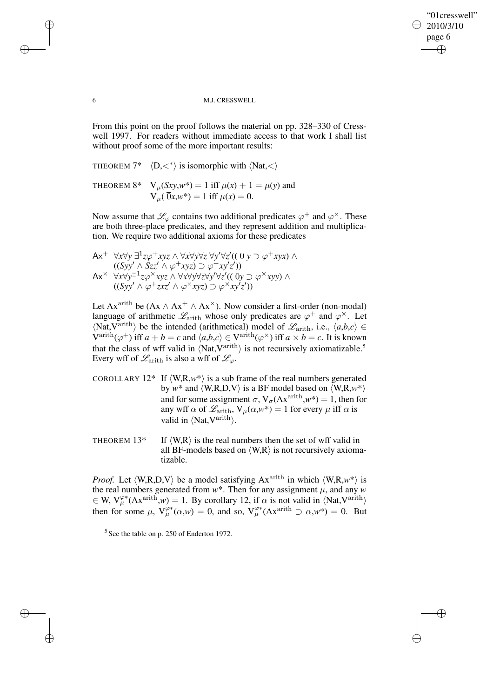"01cresswell" 2010/3/10 page 6 ✐ ✐

✐

✐

### 6 M.J. CRESSWELL

From this point on the proof follows the material on pp. 328–330 of Cresswell 1997. For readers without immediate access to that work I shall list without proof some of the more important results:

THEOREM  $7^*$   $\langle D, \langle \rangle$  is isomorphic with  $\langle Nat, \langle \rangle$ 

THEOREM 8\*  $V_{\mu}(Sxy,w^*) = 1$  iff  $\mu(x) + 1 = \mu(y)$  and  $V_{\mu}(\overline{0}x,w^*)=1$  iff  $\mu(x)=0$ .

Now assume that  $\mathscr{L}_{\varphi}$  contains two additional predicates  $\varphi^+$  and  $\varphi^{\times}$ . These are both three-place predicates, and they represent addition and multiplication. We require two additional axioms for these predicates

$$
Ax^{+} \quad \forall x \forall y \exists^{1} z \varphi^{+} xyz \land \forall x \forall y \forall z \forall y \forall z' ((\overline{0} y \supset \varphi^{+} xyx) \land ((Syy' \land Szz' \land \varphi^{+} xyz) \supset \varphi^{+} xy'z'))
$$
\n
$$
Ax^{\times} \quad \forall x \forall y \exists^{1} z \varphi^{\times} xyz \land \forall x \forall y \forall z \forall y \forall z' ((\overline{0} y \supset \varphi^{\times} xyy) \land ((Syy' \land \varphi^{+} zxz' \land \varphi^{\times} xyz) \supset \varphi^{\times} xy'z'))
$$

Let Ax<sup>arith</sup> be (Ax  $\wedge$  Ax<sup>+</sup>  $\wedge$  Ax<sup> $\times$ </sup>). Now consider a first-order (non-modal) language of arithmetic  $\mathscr{L}_{\text{arith}}$  whose only predicates are  $\varphi^+$  and  $\varphi^\times$ . Let  $\langle \text{Nat}, \text{Variable} \rangle$  be the intended (arithmetical) model of  $\mathscr{L}_{\text{arith}}$ , i.e.,  $\langle a,b,c \rangle \in$  $\text{Varith}(\varphi^+)$  iff  $a + b = c$  and  $\langle a,b,c \rangle \in \text{V}^{\text{arith}}(\varphi^\times)$  iff  $a \times b = c$ . It is known that the class of wff valid in  $\langle Nat, V^{\text{arith}} \rangle$  is not recursively axiomatizable.<sup>5</sup> Every wff of  $\mathscr{L}_{\text{arith}}$  is also a wff of  $\mathscr{L}_{\varphi}$ .

COROLLARY  $12^*$  If  $\langle W, R, w^* \rangle$  is a sub frame of the real numbers generated by  $w^*$  and  $\langle W, R, D, V \rangle$  is a BF model based on  $\langle W, R, w^* \rangle$ and for some assignment  $\sigma$ ,  $V_{\sigma}$ (Ax<sup>arith</sup>,*w*\*) = 1, then for any wff  $\alpha$  of  $\mathcal{L}_{\text{arith}}$ ,  $V_{\mu}(\alpha, w^*) = 1$  for every  $\mu$  iff  $\alpha$  is valid in  $\langle Nat, V^{arith} \rangle$ .

THEOREM 13\* If  $\langle W, R \rangle$  is the real numbers then the set of wff valid in all BF-models based on  $\langle W, R \rangle$  is not recursively axiomatizable.

*Proof.* Let  $\langle W, R, D, V \rangle$  be a model satisfying Ax<sup>arith</sup> in which  $\langle W, R, w^* \rangle$  is the real numbers generated from  $w^*$ . Then for any assignment  $\mu$ , and any  $w$  $\in$  W,  $V_{\mu}^{\varphi*}(Ax^{arith}, w) = 1$ . By corollary 12, if  $\alpha$  is not valid in  $\langle Nat, V^{arith} \rangle$ then for some  $\mu$ ,  $V_{\mu}^{\varphi*}(\alpha,w) = 0$ , and so,  $V_{\mu}^{\varphi*}(Ax^{\text{arith}} \supset \alpha,w^*) = 0$ . But

 $<sup>5</sup>$  See the table on p. 250 of Enderton 1972.</sup>

✐

✐

✐